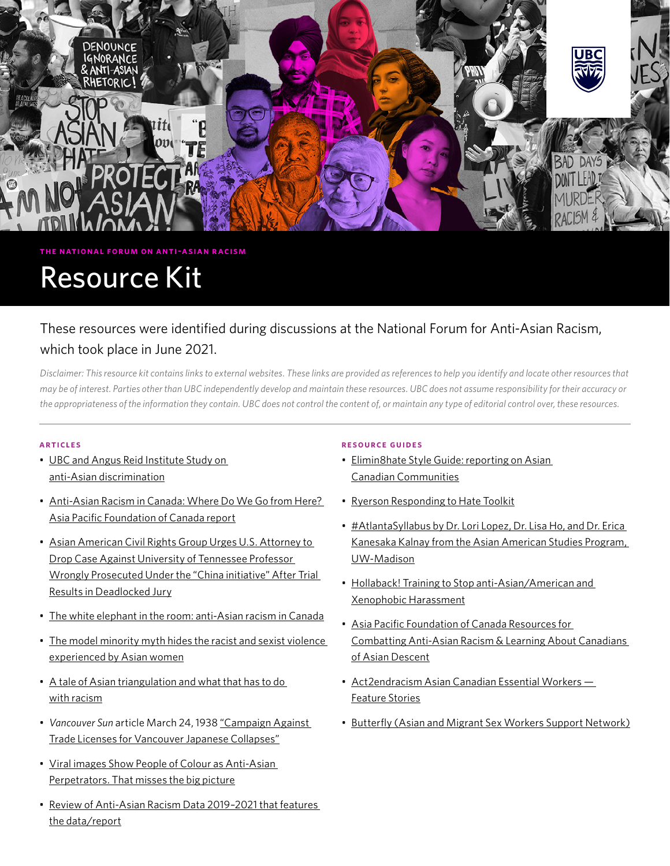

#### **the national forum on anti-asian racism**

# Resource Kit

# These resources were identified during discussions at the National Forum for Anti-Asian Racism, which took place in June 2021.

*Disclaimer: This resource kit contains links to external websites. These links are provided as references to help you identify and locate other resources that may be of interest. Parties other than UBC independently develop and maintain these resources. UBC does not assume responsibility for their accuracy or the appropriateness of the information they contain. UBC does not control the content of, or maintain any type of editorial control over, these resources.*

#### **articles**

- [UBC and Angus Reid Institute Study on](https://angusreid.org/anti-asian-discrimination/)  [anti-Asian discrimination](https://angusreid.org/anti-asian-discrimination/)
- [Anti-Asian Racism in Canada: Where Do We Go from Here?](https://www.asiapacific.ca/publication/anti-asian-racism-canada-where-do-we-go-here)  [Asia Pacific Foundation of Canada report](https://www.asiapacific.ca/publication/anti-asian-racism-canada-where-do-we-go-here)
- [Asian American Civil Rights Group Urges U.S. Attorney to](https://advancingjustice-aajc.org/press-release/asian-american-civil-rights-group-urges-us-attorney-drop-case-against-university)  [Drop Case Against University of Tennessee Professor](https://advancingjustice-aajc.org/press-release/asian-american-civil-rights-group-urges-us-attorney-drop-case-against-university)  [Wrongly Prosecuted Under the "China initiative" After Trial](https://advancingjustice-aajc.org/press-release/asian-american-civil-rights-group-urges-us-attorney-drop-case-against-university)  [Results in Deadlocked Jury](https://advancingjustice-aajc.org/press-release/asian-american-civil-rights-group-urges-us-attorney-drop-case-against-university)
- [The white elephant in the room: anti-Asian racism in Canada](https://beyond.ubc.ca/henry-yu-white-elephant/)
- [The model minority myth hides the racist and sexist violence](https://theconversation.com/the-model-minority-myth-hides-the-racist-and-sexist-violence-experienced-by-asian-women-157667)  [experienced by Asian women](https://theconversation.com/the-model-minority-myth-hides-the-racist-and-sexist-violence-experienced-by-asian-women-157667)
- [A tale of Asian triangulation and what that has to do](https://amytanmd.com/2021/03/18/a-tale-of-asian-triangulation-what-that-has-to-do-with-racism/)  [with racism](https://amytanmd.com/2021/03/18/a-tale-of-asian-triangulation-what-that-has-to-do-with-racism/)
- *• Vancouver Sun* article March 24, 1938 ["Campaign Against](https://events.ubc.ca/wp-content/uploads/2021/06/The_Vancouver_Sun_Thu__Mar_24__1938_.pdf)  [Trade Licenses for Vancouver Japanese Collapses"](https://events.ubc.ca/wp-content/uploads/2021/06/The_Vancouver_Sun_Thu__Mar_24__1938_.pdf)
- [Viral images Show People of Colour as Anti-Asian](https://www.nbcnews.com/news/asian-america/viral-images-show-people-color-anti-asian-perpetrators-misses-big-n1270821)  [Perpetrators. That misses the big picture](https://www.nbcnews.com/news/asian-america/viral-images-show-people-color-anti-asian-perpetrators-misses-big-n1270821)
- [Review of Anti-Asian Racism Data 2019–2021 that features](https://docs.google.com/document/d/19llMUCDHX-hLKru-cnDCq0BirlpNgF07W3f-q0J0ko4/edit)  [the data/report](https://docs.google.com/document/d/19llMUCDHX-hLKru-cnDCq0BirlpNgF07W3f-q0J0ko4/edit)

# **resource guides**

- [Elimin8hate Style Guide: reporting on Asian](https://www.elimin8hate.org/style-guide)  [Canadian Communities](https://www.elimin8hate.org/style-guide)
- [Ryerson Responding to Hate Toolkit](https://www.ryerson.ca/responding-to-hate/)
- [#AtlantaSyllabus by Dr. Lori Lopez, Dr. Lisa Ho, and Dr. Erica](https://asianamerican.wisc.edu/student-resources-2/atlantasyllabus/)  [Kanesaka Kalnay from the Asian American Studies Program,](https://asianamerican.wisc.edu/student-resources-2/atlantasyllabus/)  [UW-Madison](https://asianamerican.wisc.edu/student-resources-2/atlantasyllabus/)
- [Hollaback! Training to Stop anti-Asian/American and](https://www.ihollaback.org/bystanderintervention/)  [Xenophobic Harassment](https://www.ihollaback.org/bystanderintervention/)
- [Asia Pacific Foundation of Canada Resources for](https://www.asiapacific.ca/education/anti-racism-resources)  [Combatting Anti-Asian Racism & Learning About Canadians](https://www.asiapacific.ca/education/anti-racism-resources)  [of Asian Descent](https://www.asiapacific.ca/education/anti-racism-resources)
- [Act2endracism Asian Canadian Essential Workers](https://act2endracism.ca/asian-heritage/essential-worker-feature-stories/)  [Feature Stories](https://act2endracism.ca/asian-heritage/essential-worker-feature-stories/)
- [Butterfly \(Asian and Migrant Sex Workers Support Network\)](https://576a91ec-4a76-459b-8d05-4ebbf42a0a7e.filesusr.com/ugd/5bd754_747cb384a8684b06a67f29cbaf6bb154.pdf)